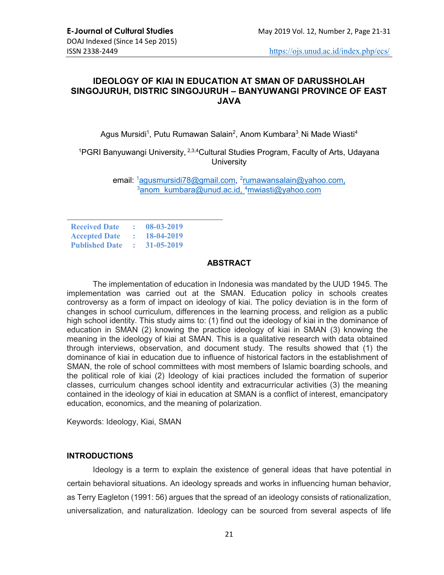# IDEOLOGY OF KIAI IN EDUCATION AT SMAN OF DARUSSHOLAH SINGOJURUH, DISTRIC SINGOJURUH – BANYUWANGI PROVINCE OF EAST JAVA

Agus Mursidi<sup>1</sup>, Putu Rumawan Salain<sup>2</sup>, Anom Kumbara<sup>3</sup>, Ni Made Wiasti<sup>4</sup>

<sup>1</sup>PGRI Banyuwangi University, <sup>2,3,4</sup>Cultural Studies Program, Faculty of Arts, Udayana **University** 

> email: <sup>1</sup>agusmursidi78@gmail.com, <sup>2</sup>rumawansalain@yahoo.com<u>,</u>  $\frac{3}{2}$ anom\_kumbara@unud.ac.id.  $\frac{4}{2}$ mwiasti@yahoo.com

| <b>Received Date</b>  |               | 08-03-2019 |
|-----------------------|---------------|------------|
| <b>Accepted Date</b>  |               | 18-04-2019 |
| <b>Published Date</b> | $\mathcal{L}$ | 31-05-2019 |

### **ABSTRACT**

The implementation of education in Indonesia was mandated by the UUD 1945. The implementation was carried out at the SMAN. Education policy in schools creates controversy as a form of impact on ideology of kiai. The policy deviation is in the form of changes in school curriculum, differences in the learning process, and religion as a public high school identity. This study aims to: (1) find out the ideology of kiai in the dominance of education in SMAN (2) knowing the practice ideology of kiai in SMAN (3) knowing the meaning in the ideology of kiai at SMAN. This is a qualitative research with data obtained through interviews, observation, and document study. The results showed that (1) the dominance of kiai in education due to influence of historical factors in the establishment of SMAN, the role of school committees with most members of Islamic boarding schools, and the political role of kiai (2) Ideology of kiai practices included the formation of superior classes, curriculum changes school identity and extracurricular activities (3) the meaning contained in the ideology of kiai in education at SMAN is a conflict of interest, emancipatory education, economics, and the meaning of polarization.

Keywords: Ideology, Kiai, SMAN

# INTRODUCTIONS

Ideology is a term to explain the existence of general ideas that have potential in certain behavioral situations. An ideology spreads and works in influencing human behavior, as Terry Eagleton (1991: 56) argues that the spread of an ideology consists of rationalization, universalization, and naturalization. Ideology can be sourced from several aspects of life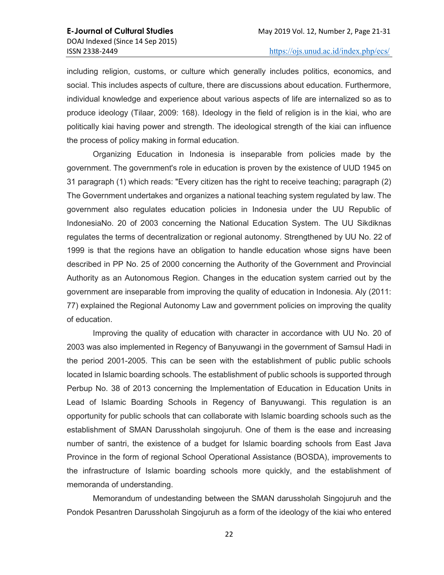including religion, customs, or culture which generally includes politics, economics, and social. This includes aspects of culture, there are discussions about education. Furthermore, individual knowledge and experience about various aspects of life are internalized so as to produce ideology (Tilaar, 2009: 168). Ideology in the field of religion is in the kiai, who are politically kiai having power and strength. The ideological strength of the kiai can influence the process of policy making in formal education.

Organizing Education in Indonesia is inseparable from policies made by the government. The government's role in education is proven by the existence of UUD 1945 on 31 paragraph (1) which reads: "Every citizen has the right to receive teaching; paragraph (2) The Government undertakes and organizes a national teaching system regulated by law. The government also regulates education policies in Indonesia under the UU Republic of IndonesiaNo. 20 of 2003 concerning the National Education System. The UU Sikdiknas regulates the terms of decentralization or regional autonomy. Strengthened by UU No. 22 of 1999 is that the regions have an obligation to handle education whose signs have been described in PP No. 25 of 2000 concerning the Authority of the Government and Provincial Authority as an Autonomous Region. Changes in the education system carried out by the government are inseparable from improving the quality of education in Indonesia. Aly (2011: 77) explained the Regional Autonomy Law and government policies on improving the quality of education.

Improving the quality of education with character in accordance with UU No. 20 of 2003 was also implemented in Regency of Banyuwangi in the government of Samsul Hadi in the period 2001-2005. This can be seen with the establishment of public public schools located in Islamic boarding schools. The establishment of public schools is supported through Perbup No. 38 of 2013 concerning the Implementation of Education in Education Units in Lead of Islamic Boarding Schools in Regency of Banyuwangi. This regulation is an opportunity for public schools that can collaborate with Islamic boarding schools such as the establishment of SMAN Darussholah singojuruh. One of them is the ease and increasing number of santri, the existence of a budget for Islamic boarding schools from East Java Province in the form of regional School Operational Assistance (BOSDA), improvements to the infrastructure of Islamic boarding schools more quickly, and the establishment of memoranda of understanding.

Memorandum of undestanding between the SMAN darussholah Singojuruh and the Pondok Pesantren Darussholah Singojuruh as a form of the ideology of the kiai who entered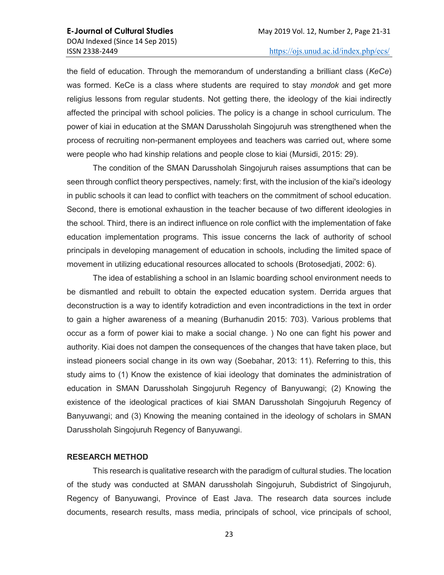the field of education. Through the memorandum of understanding a brilliant class (KeCe) was formed. KeCe is a class where students are required to stay *mondok* and get more religius lessons from regular students. Not getting there, the ideology of the kiai indirectly affected the principal with school policies. The policy is a change in school curriculum. The power of kiai in education at the SMAN Darussholah Singojuruh was strengthened when the process of recruiting non-permanent employees and teachers was carried out, where some were people who had kinship relations and people close to kiai (Mursidi, 2015: 29).

The condition of the SMAN Darussholah Singojuruh raises assumptions that can be seen through conflict theory perspectives, namely: first, with the inclusion of the kiai's ideology in public schools it can lead to conflict with teachers on the commitment of school education. Second, there is emotional exhaustion in the teacher because of two different ideologies in the school. Third, there is an indirect influence on role conflict with the implementation of fake education implementation programs. This issue concerns the lack of authority of school principals in developing management of education in schools, including the limited space of movement in utilizing educational resources allocated to schools (Brotosedjati, 2002: 6).

The idea of establishing a school in an Islamic boarding school environment needs to be dismantled and rebuilt to obtain the expected education system. Derrida argues that deconstruction is a way to identify kotradiction and even incontradictions in the text in order to gain a higher awareness of a meaning (Burhanudin 2015: 703). Various problems that occur as a form of power kiai to make a social change. ) No one can fight his power and authority. Kiai does not dampen the consequences of the changes that have taken place, but instead pioneers social change in its own way (Soebahar, 2013: 11). Referring to this, this study aims to (1) Know the existence of kiai ideology that dominates the administration of education in SMAN Darussholah Singojuruh Regency of Banyuwangi; (2) Knowing the existence of the ideological practices of kiai SMAN Darussholah Singojuruh Regency of Banyuwangi; and (3) Knowing the meaning contained in the ideology of scholars in SMAN Darussholah Singojuruh Regency of Banyuwangi.

#### RESEARCH METHOD

This research is qualitative research with the paradigm of cultural studies. The location of the study was conducted at SMAN darussholah Singojuruh, Subdistrict of Singojuruh, Regency of Banyuwangi, Province of East Java. The research data sources include documents, research results, mass media, principals of school, vice principals of school,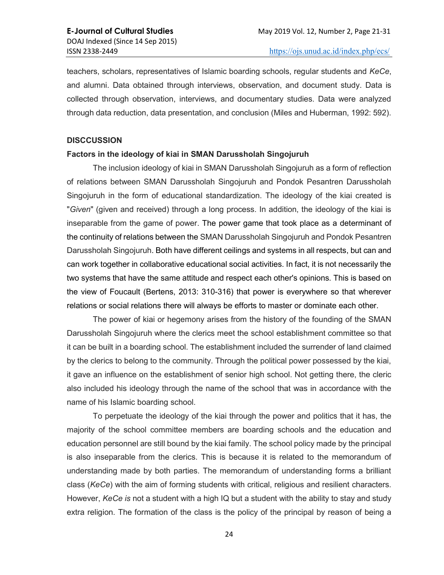teachers, scholars, representatives of Islamic boarding schools, regular students and KeCe, and alumni. Data obtained through interviews, observation, and document study. Data is collected through observation, interviews, and documentary studies. Data were analyzed through data reduction, data presentation, and conclusion (Miles and Huberman, 1992: 592).

#### **DISCCUSSION**

#### Factors in the ideology of kiai in SMAN Darussholah Singojuruh

The inclusion ideology of kiai in SMAN Darussholah Singojuruh as a form of reflection of relations between SMAN Darussholah Singojuruh and Pondok Pesantren Darussholah Singojuruh in the form of educational standardization. The ideology of the kiai created is "Given" (given and received) through a long process. In addition, the ideology of the kiai is inseparable from the game of power. The power game that took place as a determinant of the continuity of relations between the SMAN Darussholah Singojuruh and Pondok Pesantren Darussholah Singojuruh. Both have different ceilings and systems in all respects, but can and can work together in collaborative educational social activities. In fact, it is not necessarily the two systems that have the same attitude and respect each other's opinions. This is based on the view of Foucault (Bertens, 2013: 310-316) that power is everywhere so that wherever relations or social relations there will always be efforts to master or dominate each other.

The power of kiai or hegemony arises from the history of the founding of the SMAN Darussholah Singojuruh where the clerics meet the school establishment committee so that it can be built in a boarding school. The establishment included the surrender of land claimed by the clerics to belong to the community. Through the political power possessed by the kiai, it gave an influence on the establishment of senior high school. Not getting there, the cleric also included his ideology through the name of the school that was in accordance with the name of his Islamic boarding school.

To perpetuate the ideology of the kiai through the power and politics that it has, the majority of the school committee members are boarding schools and the education and education personnel are still bound by the kiai family. The school policy made by the principal is also inseparable from the clerics. This is because it is related to the memorandum of understanding made by both parties. The memorandum of understanding forms a brilliant class (KeCe) with the aim of forming students with critical, religious and resilient characters. However, KeCe is not a student with a high IQ but a student with the ability to stay and study extra religion. The formation of the class is the policy of the principal by reason of being a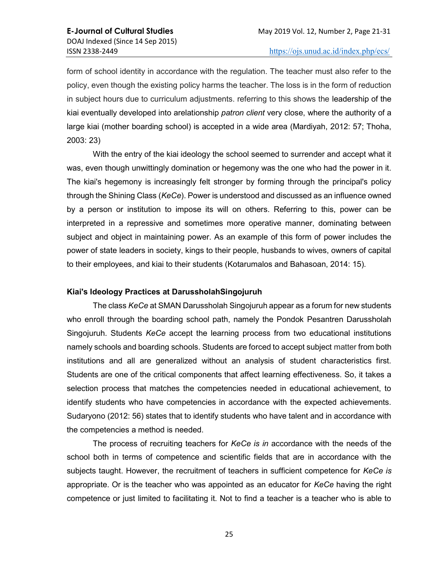form of school identity in accordance with the regulation. The teacher must also refer to the policy, even though the existing policy harms the teacher. The loss is in the form of reduction in subject hours due to curriculum adjustments. referring to this shows the leadership of the kiai eventually developed into arelationship *patron client* very close, where the authority of a large kiai (mother boarding school) is accepted in a wide area (Mardiyah, 2012: 57; Thoha, 2003: 23)

With the entry of the kiai ideology the school seemed to surrender and accept what it was, even though unwittingly domination or hegemony was the one who had the power in it. The kiai's hegemony is increasingly felt stronger by forming through the principal's policy through the Shining Class (KeCe). Power is understood and discussed as an influence owned by a person or institution to impose its will on others. Referring to this, power can be interpreted in a repressive and sometimes more operative manner, dominating between subject and object in maintaining power. As an example of this form of power includes the power of state leaders in society, kings to their people, husbands to wives, owners of capital to their employees, and kiai to their students (Kotarumalos and Bahasoan, 2014: 15).

## Kiai's Ideology Practices at DarussholahSingojuruh

The class KeCe at SMAN Darussholah Singojuruh appear as a forum for new students who enroll through the boarding school path, namely the Pondok Pesantren Darussholah Singojuruh. Students KeCe accept the learning process from two educational institutions namely schools and boarding schools. Students are forced to accept subject matter from both institutions and all are generalized without an analysis of student characteristics first. Students are one of the critical components that affect learning effectiveness. So, it takes a selection process that matches the competencies needed in educational achievement, to identify students who have competencies in accordance with the expected achievements. Sudaryono (2012: 56) states that to identify students who have talent and in accordance with the competencies a method is needed.

The process of recruiting teachers for KeCe is in accordance with the needs of the school both in terms of competence and scientific fields that are in accordance with the subjects taught. However, the recruitment of teachers in sufficient competence for KeCe is appropriate. Or is the teacher who was appointed as an educator for KeCe having the right competence or just limited to facilitating it. Not to find a teacher is a teacher who is able to

25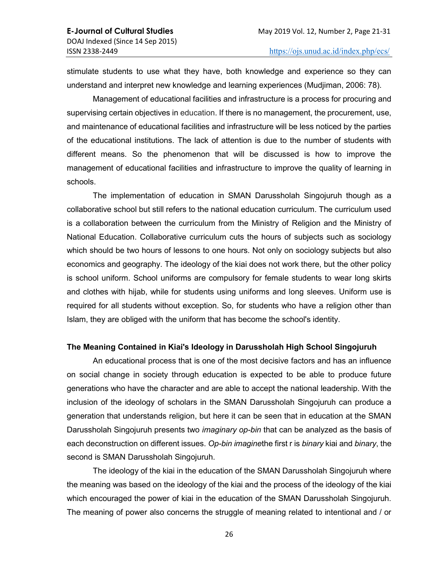stimulate students to use what they have, both knowledge and experience so they can understand and interpret new knowledge and learning experiences (Mudjiman, 2006: 78).

Management of educational facilities and infrastructure is a process for procuring and supervising certain objectives in education. If there is no management, the procurement, use, and maintenance of educational facilities and infrastructure will be less noticed by the parties of the educational institutions. The lack of attention is due to the number of students with different means. So the phenomenon that will be discussed is how to improve the management of educational facilities and infrastructure to improve the quality of learning in schools.

The implementation of education in SMAN Darussholah Singojuruh though as a collaborative school but still refers to the national education curriculum. The curriculum used is a collaboration between the curriculum from the Ministry of Religion and the Ministry of National Education. Collaborative curriculum cuts the hours of subjects such as sociology which should be two hours of lessons to one hours. Not only on sociology subjects but also economics and geography. The ideology of the kiai does not work there, but the other policy is school uniform. School uniforms are compulsory for female students to wear long skirts and clothes with hijab, while for students using uniforms and long sleeves. Uniform use is required for all students without exception. So, for students who have a religion other than Islam, they are obliged with the uniform that has become the school's identity.

## The Meaning Contained in Kiai's Ideology in Darussholah High School Singojuruh

An educational process that is one of the most decisive factors and has an influence on social change in society through education is expected to be able to produce future generations who have the character and are able to accept the national leadership. With the inclusion of the ideology of scholars in the SMAN Darussholah Singojuruh can produce a generation that understands religion, but here it can be seen that in education at the SMAN Darussholah Singojuruh presents two *imaginary op-bin* that can be analyzed as the basis of each deconstruction on different issues. Op-bin imaginethe first r is binary kiai and binary, the second is SMAN Darussholah Singojuruh.

The ideology of the kiai in the education of the SMAN Darussholah Singojuruh where the meaning was based on the ideology of the kiai and the process of the ideology of the kiai which encouraged the power of kiai in the education of the SMAN Darussholah Singojuruh. The meaning of power also concerns the struggle of meaning related to intentional and / or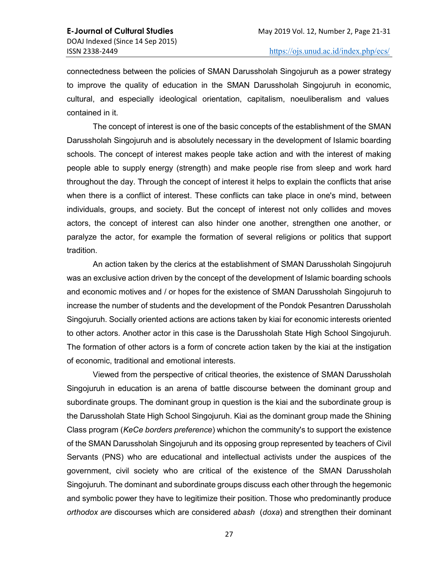connectedness between the policies of SMAN Darussholah Singojuruh as a power strategy to improve the quality of education in the SMAN Darussholah Singojuruh in economic, cultural, and especially ideological orientation, capitalism, noeuliberalism and values contained in it.

The concept of interest is one of the basic concepts of the establishment of the SMAN Darussholah Singojuruh and is absolutely necessary in the development of Islamic boarding schools. The concept of interest makes people take action and with the interest of making people able to supply energy (strength) and make people rise from sleep and work hard throughout the day. Through the concept of interest it helps to explain the conflicts that arise when there is a conflict of interest. These conflicts can take place in one's mind, between individuals, groups, and society. But the concept of interest not only collides and moves actors, the concept of interest can also hinder one another, strengthen one another, or paralyze the actor, for example the formation of several religions or politics that support tradition.

An action taken by the clerics at the establishment of SMAN Darussholah Singojuruh was an exclusive action driven by the concept of the development of Islamic boarding schools and economic motives and / or hopes for the existence of SMAN Darussholah Singojuruh to increase the number of students and the development of the Pondok Pesantren Darussholah Singojuruh. Socially oriented actions are actions taken by kiai for economic interests oriented to other actors. Another actor in this case is the Darussholah State High School Singojuruh. The formation of other actors is a form of concrete action taken by the kiai at the instigation of economic, traditional and emotional interests.

Viewed from the perspective of critical theories, the existence of SMAN Darussholah Singojuruh in education is an arena of battle discourse between the dominant group and subordinate groups. The dominant group in question is the kiai and the subordinate group is the Darussholah State High School Singojuruh. Kiai as the dominant group made the Shining Class program (KeCe borders preference) whichon the community's to support the existence of the SMAN Darussholah Singojuruh and its opposing group represented by teachers of Civil Servants (PNS) who are educational and intellectual activists under the auspices of the government, civil society who are critical of the existence of the SMAN Darussholah Singojuruh. The dominant and subordinate groups discuss each other through the hegemonic and symbolic power they have to legitimize their position. Those who predominantly produce orthodox are discourses which are considered abash (doxa) and strengthen their dominant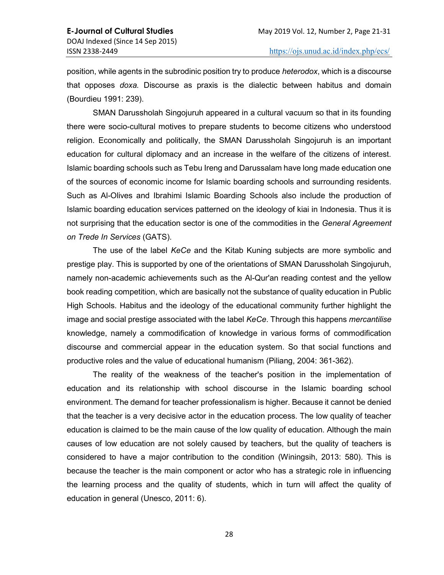position, while agents in the subrodinic position try to produce heterodox, which is a discourse that opposes doxa. Discourse as praxis is the dialectic between habitus and domain (Bourdieu 1991: 239).

SMAN Darussholah Singojuruh appeared in a cultural vacuum so that in its founding there were socio-cultural motives to prepare students to become citizens who understood religion. Economically and politically, the SMAN Darussholah Singojuruh is an important education for cultural diplomacy and an increase in the welfare of the citizens of interest. Islamic boarding schools such as Tebu Ireng and Darussalam have long made education one of the sources of economic income for Islamic boarding schools and surrounding residents. Such as Al-Olives and Ibrahimi Islamic Boarding Schools also include the production of Islamic boarding education services patterned on the ideology of kiai in Indonesia. Thus it is not surprising that the education sector is one of the commodities in the General Agreement on Trede In Services (GATS).

The use of the label KeCe and the Kitab Kuning subjects are more symbolic and prestige play. This is supported by one of the orientations of SMAN Darussholah Singojuruh, namely non-academic achievements such as the Al-Qur'an reading contest and the yellow book reading competition, which are basically not the substance of quality education in Public High Schools. Habitus and the ideology of the educational community further highlight the image and social prestige associated with the label KeCe. Through this happens *mercantilise* knowledge, namely a commodification of knowledge in various forms of commodification discourse and commercial appear in the education system. So that social functions and productive roles and the value of educational humanism (Piliang, 2004: 361-362).

The reality of the weakness of the teacher's position in the implementation of education and its relationship with school discourse in the Islamic boarding school environment. The demand for teacher professionalism is higher. Because it cannot be denied that the teacher is a very decisive actor in the education process. The low quality of teacher education is claimed to be the main cause of the low quality of education. Although the main causes of low education are not solely caused by teachers, but the quality of teachers is considered to have a major contribution to the condition (Winingsih, 2013: 580). This is because the teacher is the main component or actor who has a strategic role in influencing the learning process and the quality of students, which in turn will affect the quality of education in general (Unesco, 2011: 6).

28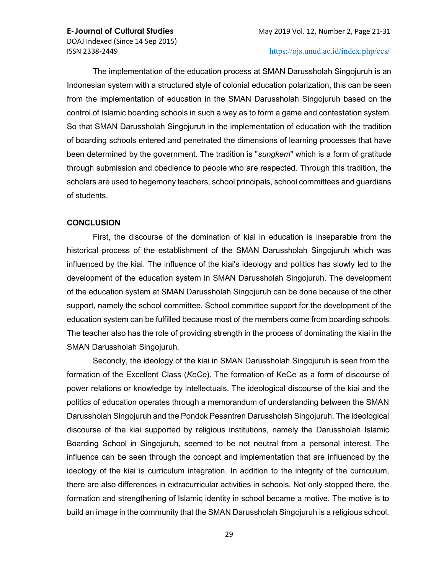The implementation of the education process at SMAN Darussholah Singojuruh is an Indonesian system with a structured style of colonial education polarization, this can be seen from the implementation of education in the SMAN Darussholah Singojuruh based on the control of Islamic boarding schools in such a way as to form a game and contestation system. So that SMAN Darussholah Singojuruh in the implementation of education with the tradition of boarding schools entered and penetrated the dimensions of learning processes that have been determined by the government. The tradition is "sungkem" which is a form of gratitude through submission and obedience to people who are respected. Through this tradition, the scholars are used to hegemony teachers, school principals, school committees and guardians of students.

#### **CONCLUSION**

First, the discourse of the domination of kiai in education is inseparable from the historical process of the establishment of the SMAN Darussholah Singojuruh which was influenced by the kiai. The influence of the kiai's ideology and politics has slowly led to the development of the education system in SMAN Darussholah Singojuruh. The development of the education system at SMAN Darussholah Singojuruh can be done because of the other support, namely the school committee. School committee support for the development of the education system can be fulfilled because most of the members come from boarding schools. The teacher also has the role of providing strength in the process of dominating the kiai in the SMAN Darussholah Singojuruh.

Secondly, the ideology of the kiai in SMAN Darussholah Singojuruh is seen from the formation of the Excellent Class (KeCe). The formation of KeCe as a form of discourse of power relations or knowledge by intellectuals. The ideological discourse of the kiai and the politics of education operates through a memorandum of understanding between the SMAN Darussholah Singojuruh and the Pondok Pesantren Darussholah Singojuruh. The ideological discourse of the kiai supported by religious institutions, namely the Darussholah Islamic Boarding School in Singojuruh, seemed to be not neutral from a personal interest. The influence can be seen through the concept and implementation that are influenced by the ideology of the kiai is curriculum integration. In addition to the integrity of the curriculum, there are also differences in extracurricular activities in schools. Not only stopped there, the formation and strengthening of Islamic identity in school became a motive. The motive is to build an image in the community that the SMAN Darussholah Singojuruh is a religious school.

29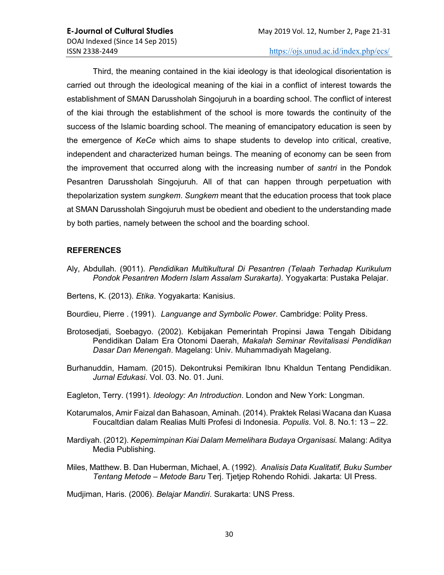Third, the meaning contained in the kiai ideology is that ideological disorientation is carried out through the ideological meaning of the kiai in a conflict of interest towards the establishment of SMAN Darussholah Singojuruh in a boarding school. The conflict of interest of the kiai through the establishment of the school is more towards the continuity of the success of the Islamic boarding school. The meaning of emancipatory education is seen by the emergence of KeCe which aims to shape students to develop into critical, creative, independent and characterized human beings. The meaning of economy can be seen from the improvement that occurred along with the increasing number of santri in the Pondok Pesantren Darussholah Singojuruh. All of that can happen through perpetuation with thepolarization system *sungkem*. Sungkem meant that the education process that took place at SMAN Darussholah Singojuruh must be obedient and obedient to the understanding made by both parties, namely between the school and the boarding school.

# REFERENCES

- Aly, Abdullah. (9011). Pendidikan Multikultural Di Pesantren (Telaah Terhadap Kurikulum Pondok Pesantren Modern Islam Assalam Surakarta). Yogyakarta: Pustaka Pelajar.
- Bertens, K. (2013). Etika. Yogyakarta: Kanisius.
- Bourdieu, Pierre . (1991). Languange and Symbolic Power. Cambridge: Polity Press.
- Brotosedjati, Soebagyo. (2002). Kebijakan Pemerintah Propinsi Jawa Tengah Dibidang Pendidikan Dalam Era Otonomi Daerah, Makalah Seminar Revitalisasi Pendidikan Dasar Dan Menengah. Magelang: Univ. Muhammadiyah Magelang.
- Burhanuddin, Hamam. (2015). Dekontruksi Pemikiran Ibnu Khaldun Tentang Pendidikan. Jurnal Edukasi. Vol. 03. No. 01. Juni.
- Eagleton, Terry. (1991). Ideology: An Introduction. London and New York: Longman.
- Kotarumalos, Amir Faizal dan Bahasoan, Aminah. (2014). Praktek Relasi Wacana dan Kuasa Foucaltdian dalam Realias Multi Profesi di Indonesia. Populis. Vol. 8. No.1: 13 – 22.
- Mardiyah. (2012). Kepemimpinan Kiai Dalam Memelihara Budaya Organisasi. Malang: Aditya Media Publishing.
- Miles, Matthew. B. Dan Huberman, Michael, A. (1992). Analisis Data Kualitatif, Buku Sumber Tentang Metode – Metode Baru Terj. Tjetjep Rohendo Rohidi. Jakarta: UI Press.

Mudjiman, Haris. (2006). Belajar Mandiri. Surakarta: UNS Press.